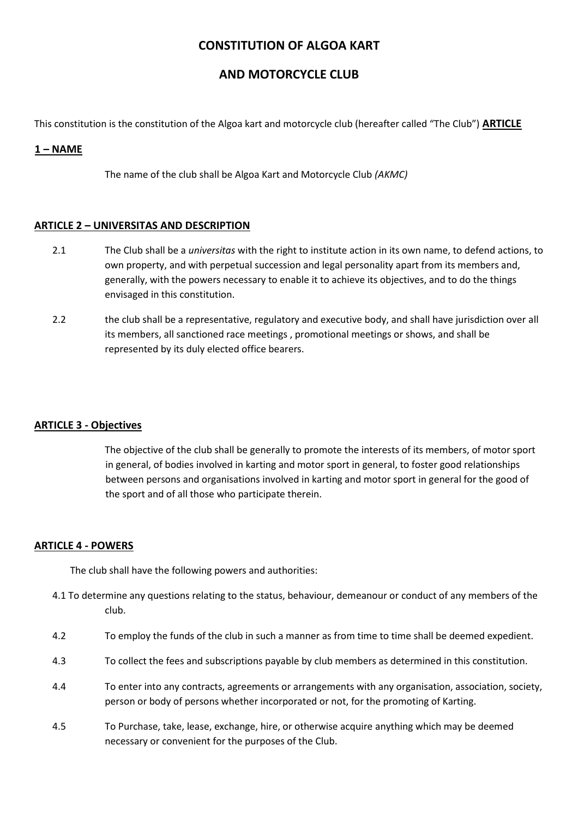# **CONSTITUTION OF ALGOA KART**

# **AND MOTORCYCLE CLUB**

This constitution is the constitution of the Algoa kart and motorcycle club (hereafter called "The Club") **ARTICLE** 

# **1 – NAME**

The name of the club shall be Algoa Kart and Motorcycle Club *(AKMC)*

### **ARTICLE 2 – UNIVERSITAS AND DESCRIPTION**

- 2.1 The Club shall be a *universitas* with the right to institute action in its own name, to defend actions, to own property, and with perpetual succession and legal personality apart from its members and, generally, with the powers necessary to enable it to achieve its objectives, and to do the things envisaged in this constitution.
- 2.2 the club shall be a representative, regulatory and executive body, and shall have jurisdiction over all its members, all sanctioned race meetings , promotional meetings or shows, and shall be represented by its duly elected office bearers.

#### **ARTICLE 3 - Objectives**

The objective of the club shall be generally to promote the interests of its members, of motor sport in general, of bodies involved in karting and motor sport in general, to foster good relationships between persons and organisations involved in karting and motor sport in general for the good of the sport and of all those who participate therein.

# **ARTICLE 4 - POWERS**

The club shall have the following powers and authorities:

- 4.1 To determine any questions relating to the status, behaviour, demeanour or conduct of any members of the club.
- 4.2 To employ the funds of the club in such a manner as from time to time shall be deemed expedient.
- 4.3 To collect the fees and subscriptions payable by club members as determined in this constitution.
- 4.4 To enter into any contracts, agreements or arrangements with any organisation, association, society, person or body of persons whether incorporated or not, for the promoting of Karting.
- 4.5 To Purchase, take, lease, exchange, hire, or otherwise acquire anything which may be deemed necessary or convenient for the purposes of the Club.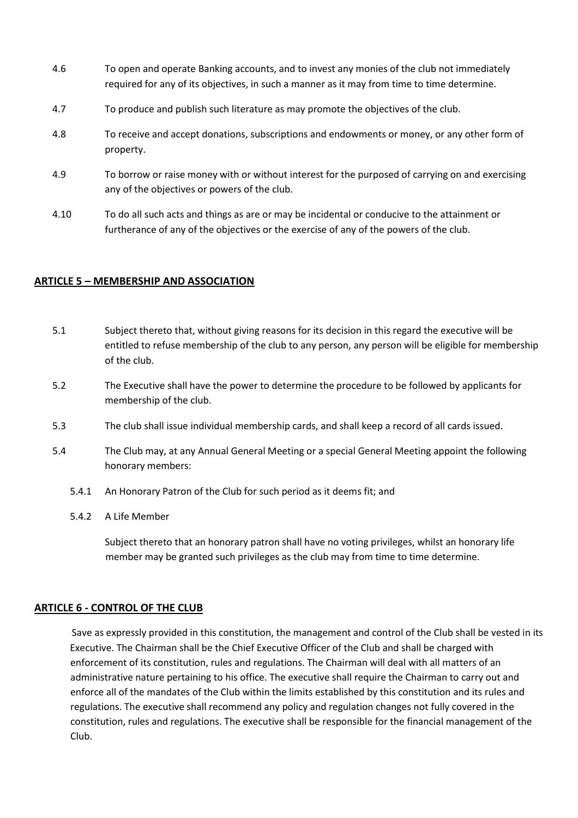- 4.6 To open and operate Banking accounts, and to invest any monies of the club not immediately required for any of its objectives, in such a manner as it may from time to time determine.
- 4.7 To produce and publish such literature as may promote the objectives of the club.
- 4.8 To receive and accept donations, subscriptions and endowments or money, or any other form of property.
- 4.9 To borrow or raise money with or without interest for the purposed of carrying on and exercising any of the objectives or powers of the club.
- 4.10 To do all such acts and things as are or may be incidental or conducive to the attainment or furtherance of any of the objectives or the exercise of any of the powers of the club.

### **ARTICLE 5 – MEMBERSHIP AND ASSOCIATION**

- 5.1 Subject thereto that, without giving reasons for its decision in this regard the executive will be entitled to refuse membership of the club to any person, any person will be eligible for membership of the club.
- 5.2 The Executive shall have the power to determine the procedure to be followed by applicants for membership of the club.
- 5.3 The club shall issue individual membership cards, and shall keep a record of all cards issued.
- 5.4 The Club may, at any Annual General Meeting or a special General Meeting appoint the following honorary members:
	- 5.4.1 An Honorary Patron of the Club for such period as it deems fit; and
	- 5.4.2 A Life Member

Subject thereto that an honorary patron shall have no voting privileges, whilst an honorary life member may be granted such privileges as the club may from time to time determine.

#### **ARTICLE 6 - CONTROL OF THE CLUB**

Save as expressly provided in this constitution, the management and control of the Club shall be vested in its Executive. The Chairman shall be the Chief Executive Officer of the Club and shall be charged with enforcement of its constitution, rules and regulations. The Chairman will deal with all matters of an administrative nature pertaining to his office. The executive shall require the Chairman to carry out and enforce all of the mandates of the Club within the limits established by this constitution and its rules and regulations. The executive shall recommend any policy and regulation changes not fully covered in the constitution, rules and regulations. The executive shall be responsible for the financial management of the Club.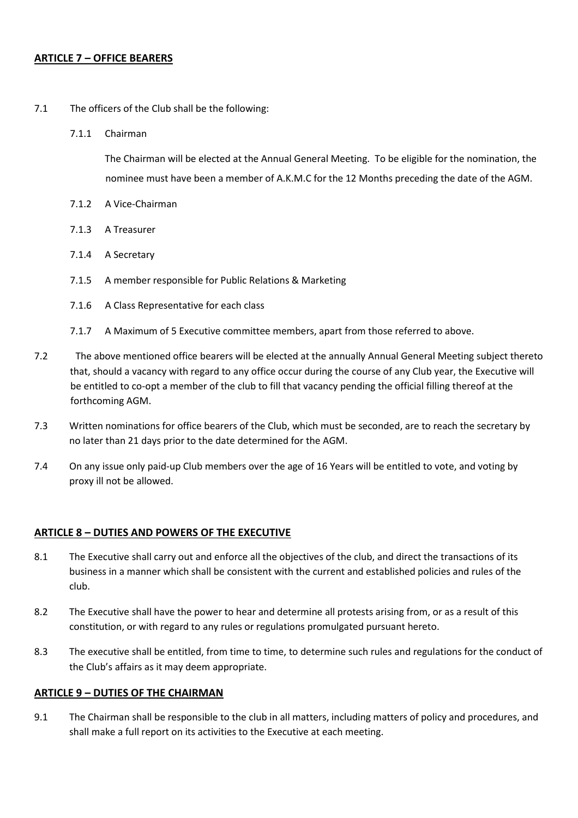# **ARTICLE 7 – OFFICE BEARERS**

- 7.1 The officers of the Club shall be the following:
	- 7.1.1 Chairman

The Chairman will be elected at the Annual General Meeting. To be eligible for the nomination, the nominee must have been a member of A.K.M.C for the 12 Months preceding the date of the AGM.

- 7.1.2 A Vice-Chairman
- 7.1.3 A Treasurer
- 7.1.4 A Secretary
- 7.1.5 A member responsible for Public Relations & Marketing
- 7.1.6 A Class Representative for each class
- 7.1.7 A Maximum of 5 Executive committee members, apart from those referred to above.
- 7.2 The above mentioned office bearers will be elected at the annually Annual General Meeting subject thereto that, should a vacancy with regard to any office occur during the course of any Club year, the Executive will be entitled to co-opt a member of the club to fill that vacancy pending the official filling thereof at the forthcoming AGM.
- 7.3 Written nominations for office bearers of the Club, which must be seconded, are to reach the secretary by no later than 21 days prior to the date determined for the AGM.
- 7.4 On any issue only paid-up Club members over the age of 16 Years will be entitled to vote, and voting by proxy ill not be allowed.

# **ARTICLE 8 – DUTIES AND POWERS OF THE EXECUTIVE**

- 8.1 The Executive shall carry out and enforce all the objectives of the club, and direct the transactions of its business in a manner which shall be consistent with the current and established policies and rules of the club.
- 8.2 The Executive shall have the power to hear and determine all protests arising from, or as a result of this constitution, or with regard to any rules or regulations promulgated pursuant hereto.
- 8.3 The executive shall be entitled, from time to time, to determine such rules and regulations for the conduct of the Club's affairs as it may deem appropriate.

# **ARTICLE 9 – DUTIES OF THE CHAIRMAN**

9.1 The Chairman shall be responsible to the club in all matters, including matters of policy and procedures, and shall make a full report on its activities to the Executive at each meeting.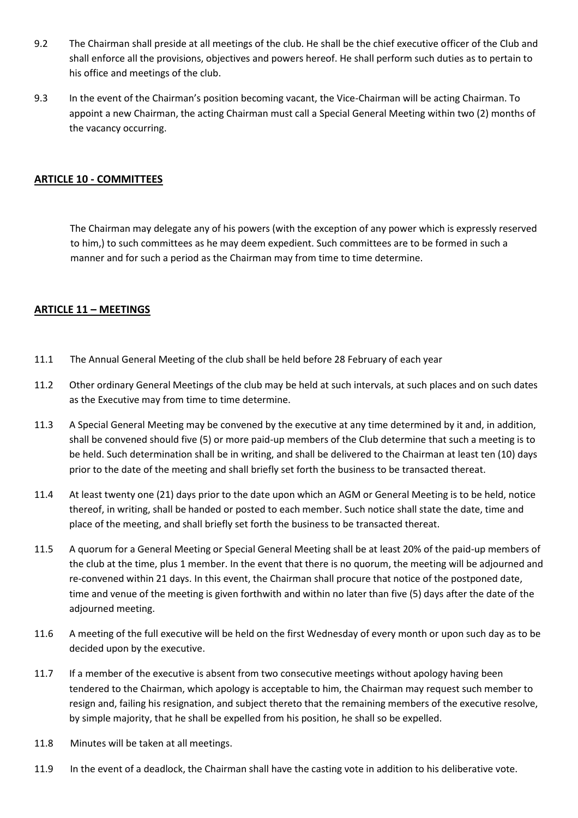- 9.2 The Chairman shall preside at all meetings of the club. He shall be the chief executive officer of the Club and shall enforce all the provisions, objectives and powers hereof. He shall perform such duties as to pertain to his office and meetings of the club.
- 9.3 In the event of the Chairman's position becoming vacant, the Vice-Chairman will be acting Chairman. To appoint a new Chairman, the acting Chairman must call a Special General Meeting within two (2) months of the vacancy occurring.

# **ARTICLE 10 - COMMITTEES**

The Chairman may delegate any of his powers (with the exception of any power which is expressly reserved to him,) to such committees as he may deem expedient. Such committees are to be formed in such a manner and for such a period as the Chairman may from time to time determine.

# **ARTICLE 11 – MEETINGS**

- 11.1 The Annual General Meeting of the club shall be held before 28 February of each year
- 11.2 Other ordinary General Meetings of the club may be held at such intervals, at such places and on such dates as the Executive may from time to time determine.
- 11.3 A Special General Meeting may be convened by the executive at any time determined by it and, in addition, shall be convened should five (5) or more paid-up members of the Club determine that such a meeting is to be held. Such determination shall be in writing, and shall be delivered to the Chairman at least ten (10) days prior to the date of the meeting and shall briefly set forth the business to be transacted thereat.
- 11.4 At least twenty one (21) days prior to the date upon which an AGM or General Meeting is to be held, notice thereof, in writing, shall be handed or posted to each member. Such notice shall state the date, time and place of the meeting, and shall briefly set forth the business to be transacted thereat.
- 11.5 A quorum for a General Meeting or Special General Meeting shall be at least 20% of the paid-up members of the club at the time, plus 1 member. In the event that there is no quorum, the meeting will be adjourned and re-convened within 21 days. In this event, the Chairman shall procure that notice of the postponed date, time and venue of the meeting is given forthwith and within no later than five (5) days after the date of the adjourned meeting.
- 11.6 A meeting of the full executive will be held on the first Wednesday of every month or upon such day as to be decided upon by the executive.
- 11.7 If a member of the executive is absent from two consecutive meetings without apology having been tendered to the Chairman, which apology is acceptable to him, the Chairman may request such member to resign and, failing his resignation, and subject thereto that the remaining members of the executive resolve, by simple majority, that he shall be expelled from his position, he shall so be expelled.
- 11.8 Minutes will be taken at all meetings.
- 11.9 In the event of a deadlock, the Chairman shall have the casting vote in addition to his deliberative vote.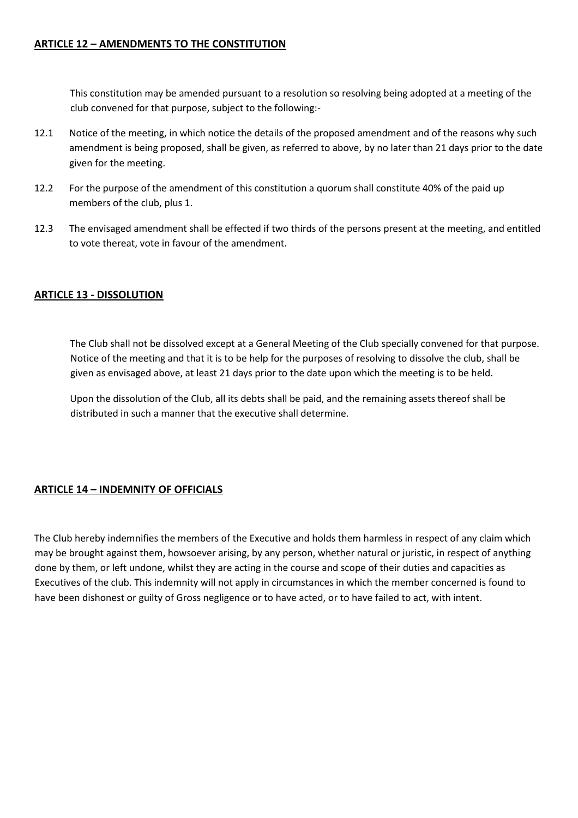# **ARTICLE 12 – AMENDMENTS TO THE CONSTITUTION**

This constitution may be amended pursuant to a resolution so resolving being adopted at a meeting of the club convened for that purpose, subject to the following:-

- 12.1 Notice of the meeting, in which notice the details of the proposed amendment and of the reasons why such amendment is being proposed, shall be given, as referred to above, by no later than 21 days prior to the date given for the meeting.
- 12.2 For the purpose of the amendment of this constitution a quorum shall constitute 40% of the paid up members of the club, plus 1.
- 12.3 The envisaged amendment shall be effected if two thirds of the persons present at the meeting, and entitled to vote thereat, vote in favour of the amendment.

# **ARTICLE 13 - DISSOLUTION**

The Club shall not be dissolved except at a General Meeting of the Club specially convened for that purpose. Notice of the meeting and that it is to be help for the purposes of resolving to dissolve the club, shall be given as envisaged above, at least 21 days prior to the date upon which the meeting is to be held.

Upon the dissolution of the Club, all its debts shall be paid, and the remaining assets thereof shall be distributed in such a manner that the executive shall determine.

# **ARTICLE 14 – INDEMNITY OF OFFICIALS**

The Club hereby indemnifies the members of the Executive and holds them harmless in respect of any claim which may be brought against them, howsoever arising, by any person, whether natural or juristic, in respect of anything done by them, or left undone, whilst they are acting in the course and scope of their duties and capacities as Executives of the club. This indemnity will not apply in circumstances in which the member concerned is found to have been dishonest or guilty of Gross negligence or to have acted, or to have failed to act, with intent.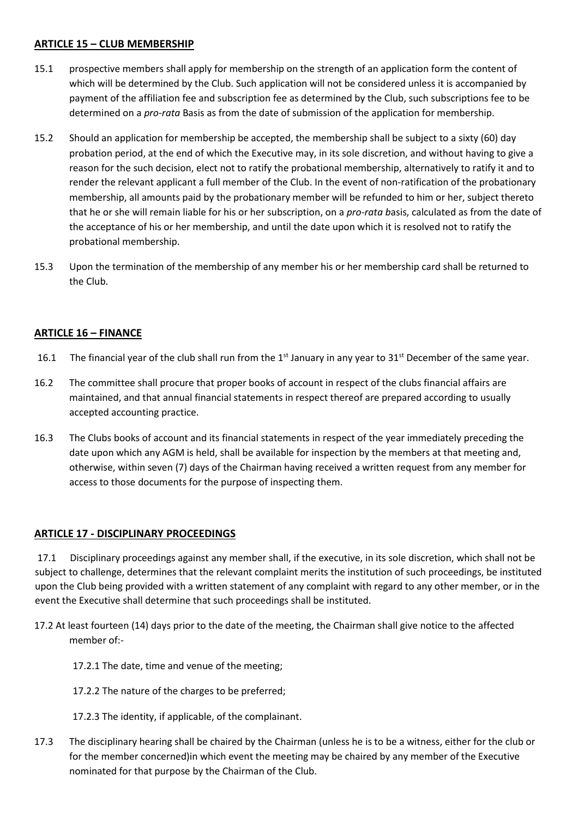# **ARTICLE 15 – CLUB MEMBERSHIP**

- 15.1 prospective members shall apply for membership on the strength of an application form the content of which will be determined by the Club. Such application will not be considered unless it is accompanied by payment of the affiliation fee and subscription fee as determined by the Club, such subscriptions fee to be determined on a *pro-rata* Basis as from the date of submission of the application for membership.
- 15.2 Should an application for membership be accepted, the membership shall be subject to a sixty (60) day probation period, at the end of which the Executive may, in its sole discretion, and without having to give a reason for the such decision, elect not to ratify the probational membership, alternatively to ratify it and to render the relevant applicant a full member of the Club. In the event of non-ratification of the probationary membership, all amounts paid by the probationary member will be refunded to him or her, subject thereto that he or she will remain liable for his or her subscription, on a *pro-rata b*asis, calculated as from the date of the acceptance of his or her membership, and until the date upon which it is resolved not to ratify the probational membership.
- 15.3 Upon the termination of the membership of any member his or her membership card shall be returned to the Club.

# **ARTICLE 16 – FINANCE**

- 16.1 The financial year of the club shall run from the  $1<sup>st</sup>$  January in any year to  $31<sup>st</sup>$  December of the same year.
- 16.2 The committee shall procure that proper books of account in respect of the clubs financial affairs are maintained, and that annual financial statements in respect thereof are prepared according to usually accepted accounting practice.
- 16.3 The Clubs books of account and its financial statements in respect of the year immediately preceding the date upon which any AGM is held, shall be available for inspection by the members at that meeting and, otherwise, within seven (7) days of the Chairman having received a written request from any member for access to those documents for the purpose of inspecting them.

# **ARTICLE 17 - DISCIPLINARY PROCEEDINGS**

17.1 Disciplinary proceedings against any member shall, if the executive, in its sole discretion, which shall not be subject to challenge, determines that the relevant complaint merits the institution of such proceedings, be instituted upon the Club being provided with a written statement of any complaint with regard to any other member, or in the event the Executive shall determine that such proceedings shall be instituted.

- 17.2 At least fourteen (14) days prior to the date of the meeting, the Chairman shall give notice to the affected member of:-
	- 17.2.1 The date, time and venue of the meeting;
	- 17.2.2 The nature of the charges to be preferred;
	- 17.2.3 The identity, if applicable, of the complainant.
- 17.3 The disciplinary hearing shall be chaired by the Chairman (unless he is to be a witness, either for the club or for the member concerned)in which event the meeting may be chaired by any member of the Executive nominated for that purpose by the Chairman of the Club.